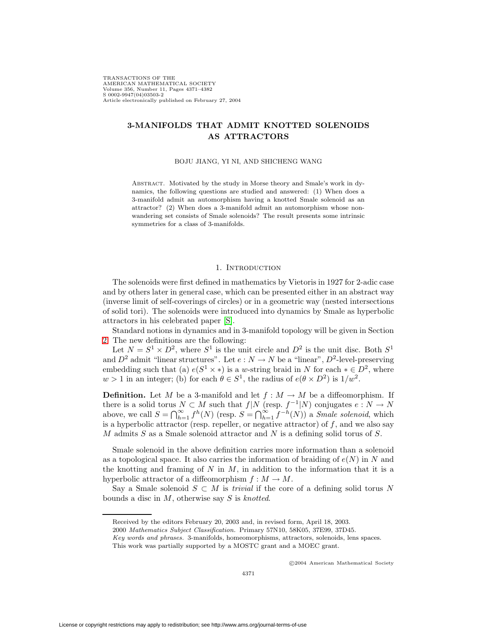TRANSACTIONS OF THE AMERICAN MATHEMATICAL SOCIETY Volume 356, Number 11, Pages 4371–4382 S 0002-9947(04)03503-2 Article electronically published on February 27, 2004

# **3-MANIFOLDS THAT ADMIT KNOTTED SOLENOIDS AS ATTRACTORS**

#### BOJU JIANG, YI NI, AND SHICHENG WANG

Abstract. Motivated by the study in Morse theory and Smale's work in dynamics, the following questions are studied and answered: (1) When does a 3-manifold admit an automorphism having a knotted Smale solenoid as an attractor? (2) When does a 3-manifold admit an automorphism whose nonwandering set consists of Smale solenoids? The result presents some intrinsic symmetries for a class of 3-manifolds.

## 1. INTRODUCTION

The solenoids were first defined in mathematics by Vietoris in 1927 for 2-adic case and by others later in general case, which can be presented either in an abstract way (inverse limit of self-coverings of circles) or in a geometric way (nested intersections of solid tori). The solenoids were introduced into dynamics by Smale as hyperbolic attractors in his celebrated paper [\[S\]](#page-11-0).

Standard notions in dynamics and in 3-manifold topology will be given in Section [2.](#page-2-0) The new definitions are the following:

Let  $N = S^1 \times D^2$ , where  $S^1$  is the unit circle and  $D^2$  is the unit disc. Both  $S^1$ and  $D^2$  admit "linear structures". Let  $e : N \to N$  be a "linear",  $D^2$ -level-preserving embedding such that (a)  $e(S^1 \times *)$  is a w-string braid in N for each  $* \in D^2$ , where  $w > 1$  in an integer; (b) for each  $\theta \in S^1$ , the radius of  $e(\theta \times D^2)$  is  $1/w^2$ .

**Definition.** Let M be a 3-manifold and let  $f : M \to M$  be a diffeomorphism. If there is a solid torus  $N \subset M$  such that  $f|N$  (resp.  $f^{-1}|N$ ) conjugates  $e: N \to N$ above, we call  $S = \bigcap_{h=1}^{\infty} f^h(N)$  (resp.  $S = \bigcap_{h=1}^{\infty} f^{-h}(N)$ ) a *Smale solenoid*, which is a hyperbolic attractor (resp. repeller, or negative attractor) of  $f$ , and we also say M admits S as a Smale solenoid attractor and N is a defining solid torus of S.

Smale solenoid in the above definition carries more information than a solenoid as a topological space. It also carries the information of braiding of  $e(N)$  in N and the knotting and framing of N in  $M$ , in addition to the information that it is a hyperbolic attractor of a diffeomorphism  $f : M \to M$ .

Say a Smale solenoid  $S \subset M$  is *trivial* if the core of a defining solid torus N bounds a disc in  $M$ , otherwise say  $S$  is knotted.

c 2004 American Mathematical Society

Received by the editors February 20, 2003 and, in revised form, April 18, 2003.

<sup>2000</sup> Mathematics Subject Classification. Primary 57N10, 58K05, 37E99, 37D45.

Key words and phrases. 3-manifolds, homeomorphisms, attractors, solenoids, lens spaces.

This work was partially supported by a MOSTC grant and a MOEC grant.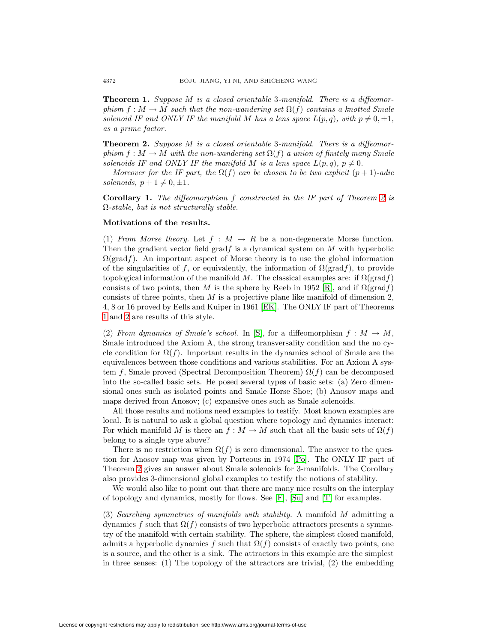<span id="page-1-1"></span>**Theorem 1.** Suppose M is a closed orientable 3-manifold. There is a diffeomorphism  $f : M \to M$  such that the non-wandering set  $\Omega(f)$  contains a knotted Smale solenoid IF and ONLY IF the manifold M has a lens space  $L(p, q)$ , with  $p \neq 0, \pm 1$ , as a prime factor.

<span id="page-1-0"></span>**Theorem 2.** Suppose M is a closed orientable 3-manifold. There is a diffeomorphism  $f : M \to M$  with the non-wandering set  $\Omega(f)$  a union of finitely many Smale solenoids IF and ONLY IF the manifold M is a lens space  $L(p,q)$ ,  $p \neq 0$ .

Moreover for the IF part, the  $\Omega(f)$  can be chosen to be two explicit  $(p+1)$ -adic solenoids,  $p + 1 \neq 0, \pm 1$ .

**Corollary 1.** The diffeomorphism f constructed in the IF part of Theorem [2](#page-1-0) is Ω-stable, but is not structurally stable.

### **Motivations of the results.**

(1) From Morse theory. Let  $f : M \to R$  be a non-degenerate Morse function. Then the gradient vector field  $\text{grad} f$  is a dynamical system on  $M$  with hyperbolic  $\Omega(\text{grad} f)$ . An important aspect of Morse theory is to use the global information of the singularities of f, or equivalently, the information of  $\Omega(\text{grad} f)$ , to provide topological information of the manifold M. The classical examples are: if  $\Omega(\text{grad } f)$ consists of two points, then M is the sphere by Reeb in 1952 [\[R\]](#page-11-1), and if  $\Omega(\text{grad } f)$ consists of three points, then  $M$  is a projective plane like manifold of dimension 2, 4, 8 or 16 proved by Eells and Kuiper in 1961 [\[EK\]](#page-11-2). The ONLY IF part of Theorems [1](#page-1-1) and [2](#page-1-0) are results of this style.

(2) From dynamics of Smale's school. In [\[S\]](#page-11-0), for a diffeomorphism  $f : M \to M$ , Smale introduced the Axiom A, the strong transversality condition and the no cycle condition for  $\Omega(f)$ . Important results in the dynamics school of Smale are the equivalences between those conditions and various stabilities. For an Axiom A system f, Smale proved (Spectral Decomposition Theorem)  $\Omega(f)$  can be decomposed into the so-called basic sets. He posed several types of basic sets: (a) Zero dimensional ones such as isolated points and Smale Horse Shoe; (b) Anosov maps and maps derived from Anosov; (c) expansive ones such as Smale solenoids.

All those results and notions need examples to testify. Most known examples are local. It is natural to ask a global question where topology and dynamics interact: For which manifold M is there an  $f : M \to M$  such that all the basic sets of  $\Omega(f)$ belong to a single type above?

There is no restriction when  $\Omega(f)$  is zero dimensional. The answer to the question for Anosov map was given by Porteous in 1974 [\[Po\]](#page-11-3). The ONLY IF part of Theorem [2](#page-1-0) gives an answer about Smale solenoids for 3-manifolds. The Corollary also provides 3-dimensional global examples to testify the notions of stability.

We would also like to point out that there are many nice results on the interplay of topology and dynamics, mostly for flows. See [\[F\]](#page-11-4), [\[Su\]](#page-11-5) and [\[T\]](#page-11-6) for examples.

(3) Searching symmetries of manifolds with stability. A manifold M admitting a dynamics f such that  $\Omega(f)$  consists of two hyperbolic attractors presents a symmetry of the manifold with certain stability. The sphere, the simplest closed manifold, admits a hyperbolic dynamics f such that  $\Omega(f)$  consists of exactly two points, one is a source, and the other is a sink. The attractors in this example are the simplest in three senses:  $(1)$  The topology of the attractors are trivial,  $(2)$  the embedding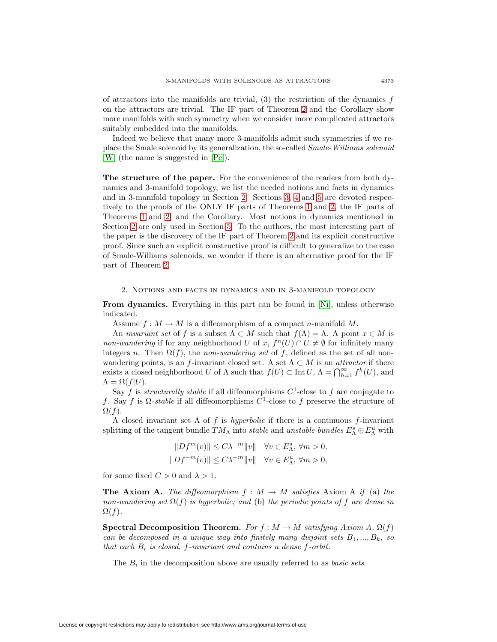of attractors into the manifolds are trivial,  $(3)$  the restriction of the dynamics f on the attractors are trivial. The IF part of Theorem [2](#page-1-0) and the Corollary show more manifolds with such symmetry when we consider more complicated attractors suitably embedded into the manifolds.

Indeed we believe that many more 3-manifolds admit such symmetries if we replace the Smale solenoid by its generalization, the so-called Smale-Williams solenoid [\[W\]](#page-11-7) (the name is suggested in [\[Pe\]](#page-11-8)).

**The structure of the paper.** For the convenience of the readers from both dynamics and 3-manifold topology, we list the needed notions and facts in dynamics and in 3-manifold topology in Section [2.](#page-2-0) Sections [3,](#page-3-0) [4](#page-6-0) and [5](#page-10-0) are devoted respectively to the proofs of the ONLY IF parts of Theorems [1](#page-1-1) and [2,](#page-1-0) the IF parts of Theorems [1](#page-1-1) and [2,](#page-1-0) and the Corollary. Most notions in dynamics mentioned in Section [2](#page-2-0) are only used in Section [5.](#page-10-0) To the authors, the most interesting part of the paper is the discovery of the IF part of Theorem [2](#page-1-0) and its explicit constructive proof. Since such an explicit constructive proof is difficult to generalize to the case of Smale-Williams solenoids, we wonder if there is an alternative proof for the IF part of Theorem [2.](#page-1-0)

### 2. Notions and facts in dynamics and in 3-manifold topology

<span id="page-2-0"></span>**From dynamics.** Everything in this part can be found in [\[Ni\]](#page-11-9), unless otherwise indicated.

Assume  $f: M \to M$  is a diffeomorphism of a compact *n*-manifold M.

An invariant set of f is a subset  $\Lambda \subset M$  such that  $f(\Lambda) = \Lambda$ . A point  $x \in M$  is non-wandering if for any neighborhood U of x,  $f^{n}(U) \cap U \neq \emptyset$  for infinitely many integers n. Then  $\Omega(f)$ , the non-wandering set of f, defined as the set of all nonwandering points, is an f-invariant closed set. A set  $\Lambda \subset M$  is an *attractor* if there exists a closed neighborhood U of  $\Lambda$  such that  $f(U) \subset \text{Int } U$ ,  $\Lambda = \bigcap_{h=1}^{\infty} f^h(U)$ , and  $\Lambda = \Omega(f|U).$ 

Say f is *structurally stable* if all diffeomorphisms  $C^1$ -close to f are conjugate to f. Say f is  $\Omega$ -stable if all diffeomorphisms  $C^1$ -close to f preserve the structure of  $\Omega(f)$ .

A closed invariant set  $\Lambda$  of f is hyperbolic if there is a continuous f-invariant splitting of the tangent bundle  $TM_\Lambda$  into *stable* and *unstable bundles*  $E_\Lambda^s \oplus E_\Lambda^u$  with

$$
||Df^{m}(v)|| \le C\lambda^{-m}||v|| \quad \forall v \in E_{\Lambda}^{s}, \forall m > 0,
$$
  

$$
||Df^{-m}(v)|| \le C\lambda^{-m}||v|| \quad \forall v \in E_{\Lambda}^{u}, \forall m > 0,
$$

for some fixed  $C > 0$  and  $\lambda > 1$ .

**The Axiom A.** The diffeomorphism  $f : M \to M$  satisfies Axiom A if (a) the non-wandering set  $\Omega(f)$  is hyperbolic; and (b) the periodic points of f are dense in  $\Omega(f)$ .

**Spectral Decomposition Theorem.** For  $f : M \to M$  satisfying Axiom A,  $\Omega(f)$ can be decomposed in a unique way into finitely many disjoint sets  $B_1, ..., B_k$ , so that each  $B_i$  is closed, f-invariant and contains a dense f-orbit.

The  $B_i$  in the decomposition above are usually referred to as *basic sets*.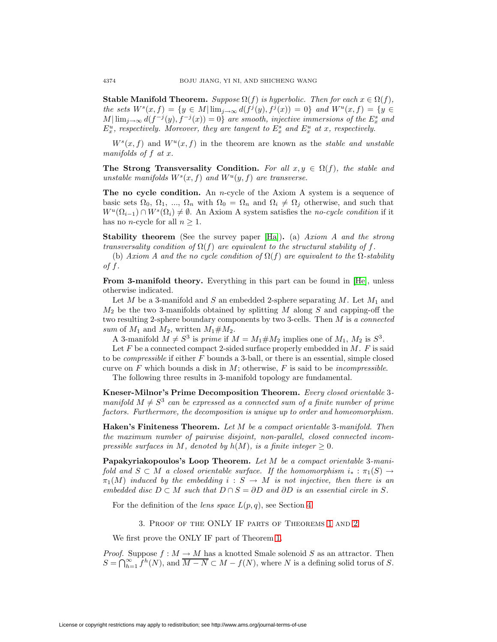**Stable Manifold Theorem.** Suppose  $\Omega(f)$  is hyperbolic. Then for each  $x \in \Omega(f)$ , the sets  $W^s(x, f) = \{y \in M | \lim_{j \to \infty} d(f^j(y), f^j(x)) = 0\}$  and  $W^u(x, f) = \{y \in$  $M|\lim_{j\to\infty} d(f^{-j}(y),f^{-j}(x))=0\}$  are smooth, injective immersions of the  $E_x^s$  and  $E_x^u$ , respectively. Moreover, they are tangent to  $E_x^s$  and  $E_x^u$  at x, respectively.

 $W^{s}(x, f)$  and  $W^{u}(x, f)$  in the theorem are known as the stable and unstable manifolds of f at x.

**The Strong Transversality Condition.** For all  $x, y \in \Omega(f)$ , the stable and unstable manifolds  $W^s(x, f)$  and  $W^u(y, f)$  are transverse.

**The no cycle condition.** An *n*-cycle of the Axiom A system is a sequence of basic sets  $\Omega_0, \Omega_1, \ldots, \Omega_n$  with  $\Omega_0 = \Omega_n$  and  $\Omega_i \neq \Omega_j$  otherwise, and such that  $W^u(\Omega_{i-1}) \cap W^s(\Omega_i) \neq \emptyset$ . An Axiom A system satisfies the no-cycle condition if it has no *n*-cycle for all  $n \geq 1$ .

**Stability theorem** (See the survey paper [\[Ha\]](#page-11-10))**.** (a) Axiom A and the strong transversality condition of  $\Omega(f)$  are equivalent to the structural stability of f.

(b) Axiom A and the no cycle condition of  $\Omega(f)$  are equivalent to the  $\Omega$ -stability of  $f$ .

**From 3-manifold theory.** Everything in this part can be found in [\[He\]](#page-11-11), unless otherwise indicated.

Let M be a 3-manifold and S an embedded 2-sphere separating M. Let  $M_1$  and  $M_2$  be the two 3-manifolds obtained by splitting M along S and capping-off the two resulting 2-sphere boundary components by two 3-cells. Then M is a connected sum of  $M_1$  and  $M_2$ , written  $M_1 \# M_2$ .

A 3-manifold  $M \neq S^3$  is prime if  $M = M_1 \# M_2$  implies one of  $M_1$ ,  $M_2$  is  $S^3$ .

Let  $F$  be a connected compact 2-sided surface properly embedded in  $M$ .  $F$  is said to be compressible if either F bounds a 3-ball, or there is an essential, simple closed curve on F which bounds a disk in  $M$ ; otherwise, F is said to be *incompressible*.

The following three results in 3-manifold topology are fundamental.

**Kneser-Milnor's Prime Decomposition Theorem.** Every closed orientable 3 manifold  $M \neq S^3$  can be expressed as a connected sum of a finite number of prime factors. Furthermore, the decomposition is unique up to order and homeomorphism.

**Haken's Finiteness Theorem.** Let M be a compact orientable 3-manifold. Then the maximum number of pairwise disjoint, non-parallel, closed connected incompressible surfaces in M, denoted by  $h(M)$ , is a finite integer  $\geq 0$ .

**Papakyriakopoulos's Loop Theorem.** Let M be a compact orientable 3-manifold and  $S \subset M$  a closed orientable surface. If the homomorphism  $i_* : \pi_1(S) \to$  $\pi_1(M)$  induced by the embedding  $i : S \to M$  is not injective, then there is an embedded disc  $D \subset M$  such that  $D \cap S = \partial D$  and  $\partial D$  is an essential circle in S.

For the definition of the *lens space*  $L(p,q)$ , see Section [4.](#page-6-0)

3. Proof of the ONLY IF parts of Theorems [1](#page-1-1) and [2](#page-1-0)

We first prove the ONLY IF part of Theorem [1.](#page-1-1)

<span id="page-3-0"></span>*Proof.* Suppose  $f : M \to M$  has a knotted Smale solenoid S as an attractor. Then  $S = \bigcap_{h=1}^{\infty} f^h(N)$ , and  $\overline{M-N} \subset M - f(N)$ , where N is a defining solid torus of S.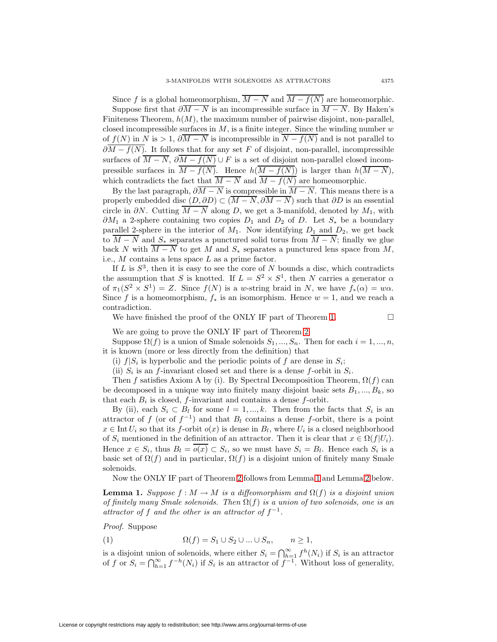Since f is a global homeomorphism,  $\overline{M-N}$  and  $\overline{M-f(N)}$  are homeomorphic.

Suppose first that  $\partial \overline{M} - \overline{N}$  is an incompressible surface in  $\overline{M} - \overline{N}$ . By Haken's Finiteness Theorem,  $h(M)$ , the maximum number of pairwise disjoint, non-parallel, closed incompressible surfaces in  $M$ , is a finite integer. Since the winding number  $w$ of  $f(N)$  in N is > 1,  $\partial \overline{M-N}$  is incompressible in  $\overline{N-f(N)}$  and is not parallel to  $\partial \overline{M} - f(N)$ . It follows that for any set F of disjoint, non-parallel, incompressible surfaces of  $\overline{M-N}$ ,  $\partial \overline{M-f(N)} \cup F$  is a set of disjoint non-parallel closed incompressible surfaces in  $\overline{M - f(N)}$ . Hence  $h(\overline{M - f(N)})$  is larger than  $h(\overline{M - N})$ , which contradicts the fact that  $\overline{M-N}$  and  $\overline{M-f(N)}$  are homeomorphic.

By the last paragraph,  $\partial \overline{M} - \overline{N}$  is compressible in  $\overline{M} - \overline{N}$ . This means there is a properly embedded disc  $(D, \partial D) \subset (\overline{M-N}, \partial \overline{M-N})$  such that  $\partial D$  is an essential circle in  $\partial N$ . Cutting  $\overline{M-N}$  along D, we get a 3-manifold, denoted by  $M_1$ , with  $\partial M_1$  a 2-sphere containing two copies  $D_1$  and  $D_2$  of D. Let  $S_*$  be a boundary parallel 2-sphere in the interior of  $M_1$ . Now identifying  $D_1$  and  $D_2$ , we get back to  $\overline{M-N}$  and  $S_*$  separates a punctured solid torus from  $\overline{M-N}$ ; finally we glue back N with  $\overline{M-N}$  to get M and  $S_*$  separates a punctured lens space from M, i.e.,  $M$  contains a lens space  $L$  as a prime factor.

If L is  $S^3$ , then it is easy to see the core of N bounds a disc, which contradicts the assumption that S is knotted. If  $L = S^2 \times S^1$ , then N carries a generator  $\alpha$ of  $\pi_1(S^2 \times S^1) = Z$ . Since  $f(N)$  is a w-string braid in N, we have  $f_*(\alpha) = w\alpha$ . Since f is a homeomorphism,  $f_*$  is an isomorphism. Hence  $w = 1$ , and we reach a contradiction.

We have finished the proof of the ONLY IF part of Theorem [1.](#page-1-1)  $\Box$ 

We are going to prove the ONLY IF part of Theorem [2.](#page-1-0)

Suppose  $\Omega(f)$  is a union of Smale solenoids  $S_1, ..., S_n$ . Then for each  $i = 1, ..., n$ , it is known (more or less directly from the definition) that

(i)  $f|S_i$  is hyperbolic and the periodic points of f are dense in  $S_i$ ;

(ii)  $S_i$  is an f-invariant closed set and there is a dense f-orbit in  $S_i$ .

Then f satisfies Axiom A by (i). By Spectral Decomposition Theorem,  $\Omega(f)$  can be decomposed in a unique way into finitely many disjoint basic sets  $B_1, ..., B_k$ , so that each  $B_i$  is closed, f-invariant and contains a dense f-orbit.

By (ii), each  $S_i \subset B_l$  for some  $l = 1, ..., k$ . Then from the facts that  $S_i$  is an attractor of f (or of  $f^{-1}$ ) and that  $B_l$  contains a dense f-orbit, there is a point  $x \in \text{Int } U_i$  so that its f-orbit  $o(x)$  is dense in  $B_l$ , where  $U_i$  is a closed neighborhood of  $S_i$  mentioned in the definition of an attractor. Then it is clear that  $x \in \Omega(f|U_i)$ . Hence  $x \in S_i$ , thus  $B_l = o(x) \subset S_i$ , so we must have  $S_i = B_l$ . Hence each  $S_i$  is a basic set of  $\Omega(f)$  and in particular,  $\Omega(f)$  is a disjoint union of finitely many Smale solenoids.

Now the ONLY IF part of Theorem [2](#page-1-0) follows from Lemma [1](#page-4-0) and Lemma [2](#page-5-0) below.

<span id="page-4-0"></span>**Lemma 1.** Suppose  $f : M \to M$  is a diffeomorphism and  $\Omega(f)$  is a disjoint union of finitely many Smale solenoids. Then  $\Omega(f)$  is a union of two solenoids, one is an attractor of f and the other is an attractor of  $f^{-1}$ .

Proof. Suppose

$$
(1) \qquad \qquad \Omega(f) = S_1 \cup S_2 \cup \ldots \cup S_n, \qquad n \ge 1,
$$

is a disjoint union of solenoids, where either  $S_i = \bigcap_{h=1}^{\infty} f^h(N_i)$  if  $S_i$  is an attractor of f or  $S_i = \bigcap_{h=1}^{\infty} f^{-h}(N_i)$  if  $S_i$  is an attractor of  $f^{-1}$ . Without loss of generality,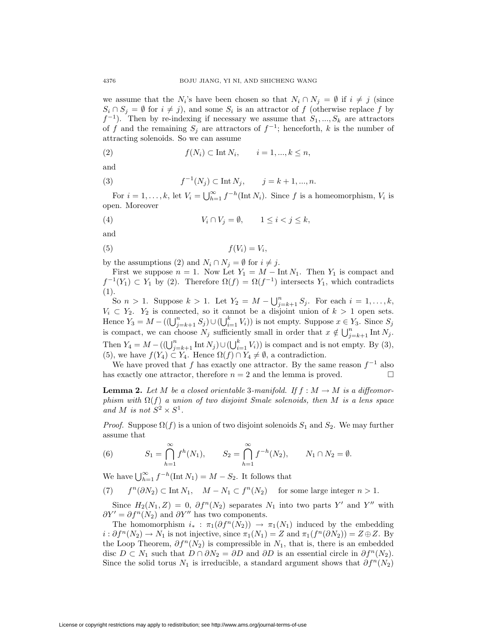we assume that the  $N_i$ 's have been chosen so that  $N_i \cap N_j = \emptyset$  if  $i \neq j$  (since  $S_i \cap S_j = \emptyset$  for  $i \neq j$ , and some  $S_i$  is an attractor of f (otherwise replace f by  $f^{-1}$ ). Then by re-indexing if necessary we assume that  $S_1, ..., S_k$  are attractors of f and the remaining  $S_j$  are attractors of  $f^{-1}$ ; henceforth, k is the number of attracting solenoids. So we can assume

$$
(2) \t f(N_i) \subset \text{Int } N_i, \t i = 1, ..., k \le n,
$$

and

(3) 
$$
f^{-1}(N_j) \subset \text{Int } N_j, \qquad j = k + 1, ..., n.
$$

For  $i = 1, ..., k$ , let  $V_i = \bigcup_{h=1}^{\infty} f^{-h}(\text{Int } N_i)$ . Since f is a homeomorphism,  $V_i$  is open. Moreover

$$
(4) \t V_i \cap V_j = \emptyset, \t 1 \leq i < j \leq k,
$$

and

$$
(5) \t\t f(V_i) = V_i,
$$

by the assumptions (2) and  $N_i \cap N_j = \emptyset$  for  $i \neq j$ .

First we suppose  $n = 1$ . Now Let  $Y_1 = M - \text{Int } N_1$ . Then  $Y_1$  is compact and  $f^{-1}(Y_1) \subset Y_1$  by (2). Therefore  $\Omega(f) = \Omega(f^{-1})$  intersects  $Y_1$ , which contradicts (1).

So  $n > 1$ . Suppose  $k > 1$ . Let  $Y_2 = M - \bigcup_{j=k+1}^{n} S_j$ . For each  $i = 1, ..., k$ ,  $V_i \subset Y_2$ .  $Y_2$  is connected, so it cannot be a disjoint union of  $k > 1$  open sets. Hence  $Y_3 = M - ((\bigcup_{j=k+1}^n S_j) \cup (\bigcup_{i=1}^k V_i))$  is not empty. Suppose  $x \in Y_3$ . Since  $S_j$ is compact, we can choose  $N_j$  sufficiently small in order that  $x \notin \bigcup_{j=k+1}^n \text{Int } N_j$ . Then  $Y_4 = M - ((\bigcup_{j=k+1}^{n} \text{Int } N_j) \cup (\bigcup_{i=1}^{k} V_i))$  is compact and is not empty. By (3), (5), we have  $f(Y_4) \subset Y_4$ . Hence  $\Omega(f) \cap Y_4 \neq \emptyset$ , a contradiction.

We have proved that f has exactly one attractor. By the same reason  $f^{-1}$  also has exactly one attractor, therefore  $n = 2$  and the lemma is proved.

<span id="page-5-0"></span>**Lemma 2.** Let M be a closed orientable 3-manifold. If  $f : M \to M$  is a diffeomorphism with  $\Omega(f)$  a union of two disjoint Smale solenoids, then M is a lens space and M is not  $S^2 \times S^1$ .

*Proof.* Suppose  $\Omega(f)$  is a union of two disjoint solenoids  $S_1$  and  $S_2$ . We may further assume that

(6) 
$$
S_1 = \bigcap_{h=1}^{\infty} f^h(N_1), \qquad S_2 = \bigcap_{h=1}^{\infty} f^{-h}(N_2), \qquad N_1 \cap N_2 = \emptyset.
$$

We have  $\bigcup_{h=1}^{\infty} f^{-h}(\text{Int } N_1) = M - S_2$ . It follows that

(7)  $f^{n}(\partial N_2) \subset \text{Int } N_1, \quad M - N_1 \subset f^{n}(N_2)$  for some large integer  $n > 1$ .

Since  $H_2(N_1, Z) = 0$ ,  $\partial f^{n}(N_2)$  separates  $N_1$  into two parts Y' and Y'' with  $\partial Y' = \partial f^n(N_2)$  and  $\partial Y''$  has two components.

The homomorphism  $i_* : \pi_1(\partial f^n(N_2)) \to \pi_1(N_1)$  induced by the embedding  $i : \partial f^{n}(N_2) \to N_1$  is not injective, since  $\pi_1(N_1) = Z$  and  $\pi_1(f^{n}(\partial N_2)) = Z \oplus Z$ . By the Loop Theorem,  $\partial f^{n}(N_2)$  is compressible in  $N_1$ , that is, there is an embedded disc  $D \subset N_1$  such that  $D \cap \partial N_2 = \partial D$  and  $\partial D$  is an essential circle in  $\partial f^n(N_2)$ . Since the solid torus  $N_1$  is irreducible, a standard argument shows that  $\partial f^n(N_2)$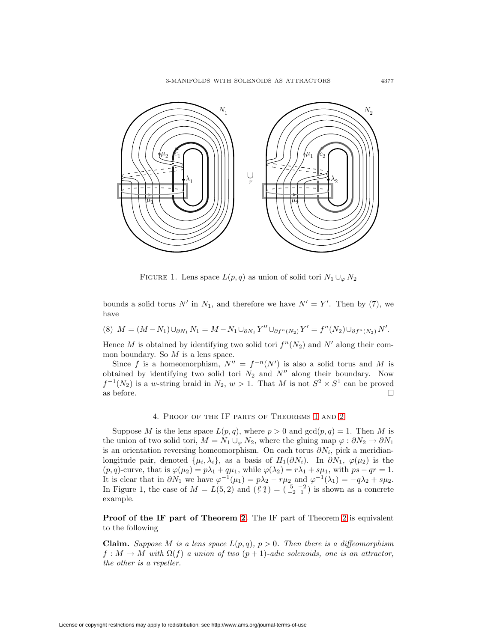

FIGURE 1. Lens space  $L(p,q)$  as union of solid tori  $N_1 \cup_{\varphi} N_2$ 

bounds a solid torus N' in  $N_1$ , and therefore we have  $N' = Y'$ . Then by (7), we have

$$
(8) M = (M - N_1) \cup_{\partial N_1} N_1 = M - N_1 \cup_{\partial N_1} Y'' \cup_{\partial f^n(N_2)} Y' = f^n(N_2) \cup_{\partial f^n(N_2)} N'.
$$

Hence M is obtained by identifying two solid tori  $f^{n}(N_2)$  and N' along their common boundary. So  $M$  is a lens space.

Since f is a homeomorphism,  $N'' = f^{-n}(N')$  is also a solid torus and M is obtained by identifying two solid tori  $N_2$  and  $N''$  along their boundary. Now  $f^{-1}(N_2)$  is a w-string braid in  $N_2, w > 1$ . That M is not  $S^2 \times S^1$  can be proved as before.  $\Box$ 

### 4. Proof of the IF parts of Theorems [1](#page-1-1) and [2](#page-1-0)

<span id="page-6-0"></span>Suppose M is the lens space  $L(p,q)$ , where  $p > 0$  and  $gcd(p,q) = 1$ . Then M is the union of two solid tori,  $M = N_1 \cup_{\varphi} N_2$ , where the gluing map  $\varphi : \partial N_2 \to \partial N_1$ is an orientation reversing homeomorphism. On each torus  $\partial N_i$ , pick a meridianlongitude pair, denoted  $\{\mu_i, \lambda_i\}$ , as a basis of  $H_1(\partial N_i)$ . In  $\partial N_1$ ,  $\varphi(\mu_2)$  is the  $(p, q)$ -curve, that is  $\varphi(\mu_2) = p\lambda_1 + q\mu_1$ , while  $\varphi(\lambda_2) = r\lambda_1 + s\mu_1$ , with  $ps - qr = 1$ . It is clear that in  $\partial N_1$  we have  $\varphi^{-1}(\mu_1) = p\lambda_2 - r\mu_2$  and  $\varphi^{-1}(\lambda_1) = -q\lambda_2 + s\mu_2$ . In Figure 1, the case of  $M = L(5, 2)$  and  $\binom{p}{r}$  =  $\binom{5}{-2}$  is shown as a concrete example.

**Proof of the IF part of Theorem [2.](#page-1-0)** The IF part of Theorem [2](#page-1-0) is equivalent to the following

**Claim.** Suppose M is a lens space  $L(p,q)$ ,  $p > 0$ . Then there is a diffeomorphism  $f: M \to M$  with  $\Omega(f)$  a union of two  $(p+1)$ -adic solenoids, one is an attractor, the other is a repeller.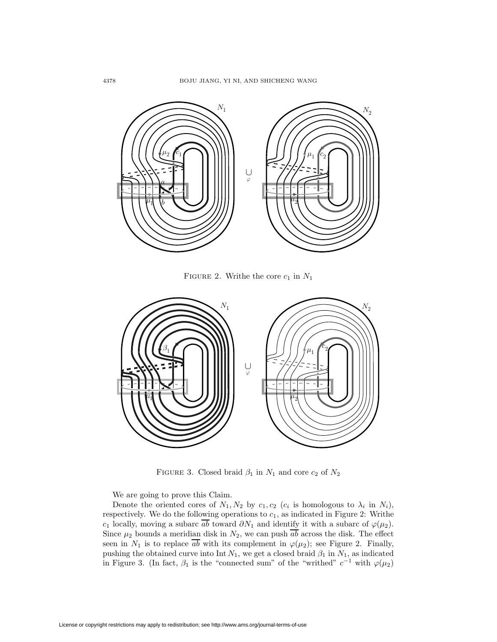

FIGURE 2. Writhe the core  $c_1$  in  $N_1$ 



FIGURE 3. Closed braid  $\beta_1$  in  $N_1$  and core  $c_2$  of  $N_2$ 

We are going to prove this Claim.

Denote the oriented cores of  $N_1, N_2$  by  $c_1, c_2$  ( $c_i$  is homologous to  $\lambda_i$  in  $N_i$ ), respectively. We do the following operations to  $c_1$ , as indicated in Figure 2: Writhe c<sub>1</sub> locally, moving a subarc  $\overline{ab}$  toward  $\partial N_1$  and identify it with a subarc of  $\varphi(\mu_2)$ . Since  $\mu_2$  bounds a meridian disk in  $N_2$ , we can push  $\overline{ab}$  across the disk. The effect seen in  $N_1$  is to replace  $\overline{ab}$  with its complement in  $\varphi(\mu_2)$ ; see Figure 2. Finally, pushing the obtained curve into Int  $N_1$ , we get a closed braid  $\beta_1$  in  $N_1$ , as indicated in Figure 3. (In fact,  $\beta_1$  is the "connected sum" of the "writhed"  $c^{-1}$  with  $\varphi(\mu_2)$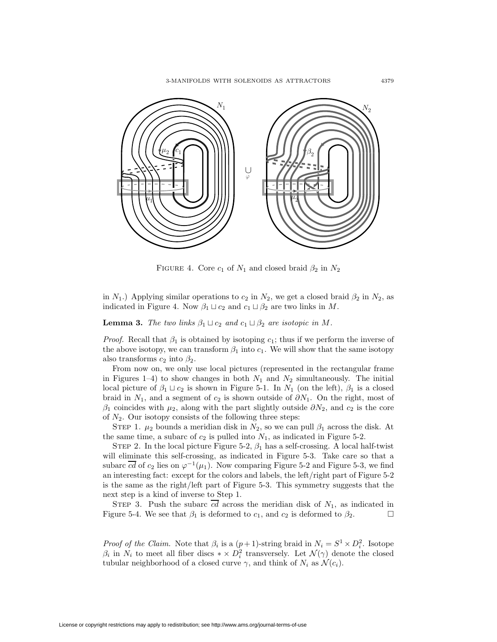3-MANIFOLDS WITH SOLENOIDS AS ATTRACTORS 4379



FIGURE 4. Core  $c_1$  of  $N_1$  and closed braid  $\beta_2$  in  $N_2$ 

<span id="page-8-0"></span>in  $N_1$ .) Applying similar operations to  $c_2$  in  $N_2$ , we get a closed braid  $\beta_2$  in  $N_2$ , as indicated in Figure 4. Now  $\beta_1 \sqcup c_2$  and  $c_1 \sqcup \beta_2$  are two links in M.

**Lemma 3.** The two links  $\beta_1 \sqcup c_2$  and  $c_1 \sqcup \beta_2$  are isotopic in M.

*Proof.* Recall that  $\beta_1$  is obtained by isotoping  $c_1$ ; thus if we perform the inverse of the above isotopy, we can transform  $\beta_1$  into  $c_1$ . We will show that the same isotopy also transforms  $c_2$  into  $\beta_2$ .

From now on, we only use local pictures (represented in the rectangular frame in Figures 1–4) to show changes in both  $N_1$  and  $N_2$  simultaneously. The initial local picture of  $\beta_1 \sqcup c_2$  is shown in Figure 5-1. In  $N_1$  (on the left),  $\beta_1$  is a closed braid in  $N_1$ , and a segment of  $c_2$  is shown outside of  $\partial N_1$ . On the right, most of  $\beta_1$  coincides with  $\mu_2$ , along with the part slightly outside  $\partial N_2$ , and  $c_2$  is the core of  $N_2$ . Our isotopy consists of the following three steps:

STEP 1.  $\mu_2$  bounds a meridian disk in  $N_2$ , so we can pull  $\beta_1$  across the disk. At the same time, a subarc of  $c_2$  is pulled into  $N_1$ , as indicated in Figure 5-2.

STEP 2. In the local picture Figure 5-2,  $\beta_1$  has a self-crossing. A local half-twist will eliminate this self-crossing, as indicated in Figure 5-3. Take care so that a subarc  $\overline{cd}$  of  $c_2$  lies on  $\varphi^{-1}(\mu_1)$ . Now comparing Figure 5-2 and Figure 5-3, we find an interesting fact: except for the colors and labels, the left/right part of Figure 5-2 is the same as the right/left part of Figure 5-3. This symmetry suggests that the next step is a kind of inverse to Step 1.

STEP 3. Push the subarc  $\overline{cd}$  across the meridian disk of  $N_1$ , as indicated in Figure 5-4. We see that  $\beta_1$  is deformed to  $c_1$ , and  $c_2$  is deformed to  $\beta_2$ .

*Proof of the Claim.* Note that  $\beta_i$  is a  $(p+1)$ -string braid in  $N_i = S^1 \times D_i^2$ . Isotope  $\beta_i$  in  $N_i$  to meet all fiber discs  $* \times D_i^2$  transversely. Let  $\mathcal{N}(\gamma)$  denote the closed tubular neighborhood of a closed curve  $\gamma$ , and think of  $N_i$  as  $\mathcal{N}(c_i)$ .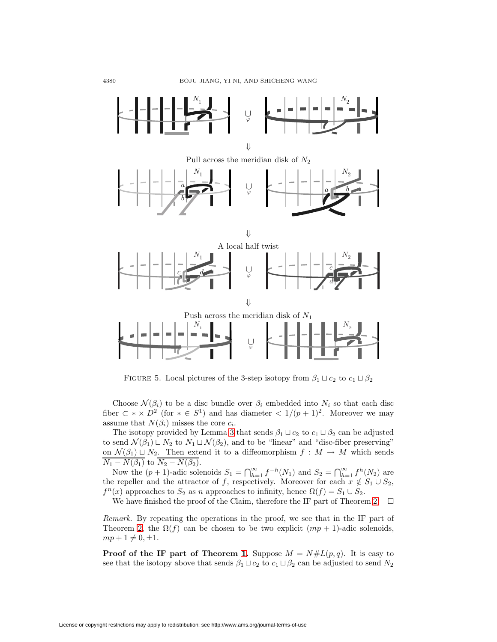

FIGURE 5. Local pictures of the 3-step isotopy from  $\beta_1 \sqcup c_2$  to  $c_1 \sqcup \beta_2$ 

Choose  $\mathcal{N}(\beta_i)$  to be a disc bundle over  $\beta_i$  embedded into  $N_i$  so that each disc fiber  $\subset \ast \times D^2$  (for  $\ast \in S^1$ ) and has diameter  $\lt 1/(p+1)^2$ . Moreover we may assume that  $N(\beta_i)$  misses the core  $c_i$ .

The isotopy provided by Lemma [3](#page-8-0) that sends  $\beta_1 \sqcup c_2$  to  $c_1 \sqcup \beta_2$  can be adjusted to send  $\mathcal{N}(\beta_1) \sqcup N_2$  to  $N_1 \sqcup \mathcal{N}(\beta_2)$ , and to be "linear" and "disc-fiber preserving" on  $\mathcal{N}(\beta_1) \sqcup N_2$ . Then extend it to a diffeomorphism  $f : M \to M$  which sends  $\overline{N_1 - N(\beta_1)}$  to  $\overline{N_2 - N(\beta_2)}$ .

Now the  $(p+1)$ -adic solenoids  $S_1 = \bigcap_{h=1}^{\infty} f^{-h}(N_1)$  and  $S_2 = \bigcap_{h=1}^{\infty} f^h(N_2)$  are the repeller and the attractor of f, respectively. Moreover for each  $x \notin S_1 \cup S_2$ ,  $f^{n}(x)$  approaches to  $S_2$  as n approaches to infinity, hence  $\Omega(f) = S_1 \cup S_2$ .

We have finished the proof of the Claim, therefore the IF part of Theorem [2.](#page-1-0)  $\Box$ 

Remark. By repeating the operations in the proof, we see that in the IF part of Theorem [2,](#page-1-0) the  $\Omega(f)$  can be chosen to be two explicit  $(mp + 1)$ -adic solenoids,  $mp + 1 \neq 0, \pm 1.$ 

**Proof of the IF part of Theorem [1.](#page-1-1)** Suppose  $M = N#L(p,q)$ . It is easy to see that the isotopy above that sends  $\beta_1 \sqcup c_2$  to  $c_1 \sqcup \beta_2$  can be adjusted to send  $N_2$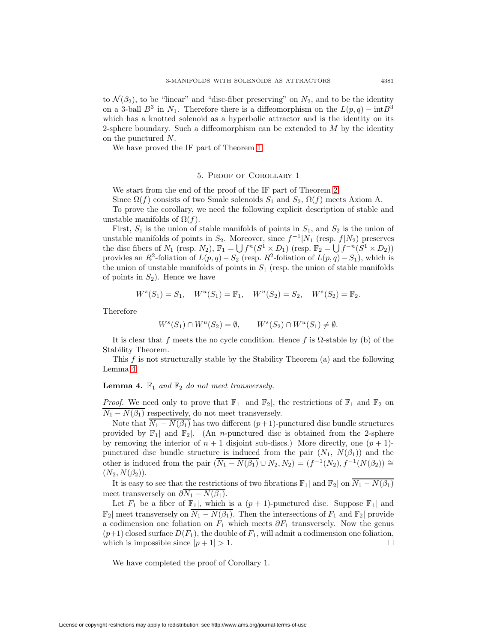to  $\mathcal{N}(\beta_2)$ , to be "linear" and "disc-fiber preserving" on  $N_2$ , and to be the identity on a 3-ball  $B^3$  in  $N_1$ . Therefore there is a diffeomorphism on the  $L(p,q) - \text{int}B^3$ which has a knotted solenoid as a hyperbolic attractor and is the identity on its 2-sphere boundary. Such a diffeomorphism can be extended to  $M$  by the identity on the punctured N.

<span id="page-10-0"></span>We have proved the IF part of Theorem [1.](#page-1-1)

#### 5. Proof of Corollary 1

We start from the end of the proof of the IF part of Theorem [2.](#page-1-0)

Since  $\Omega(f)$  consists of two Smale solenoids  $S_1$  and  $S_2$ ,  $\Omega(f)$  meets Axiom A.

To prove the corollary, we need the following explicit description of stable and unstable manifolds of  $\Omega(f)$ .

First,  $S_1$  is the union of stable manifolds of points in  $S_1$ , and  $S_2$  is the union of unstable manifolds of points in  $S_2$ . Moreover, since  $f^{-1}|N_1$  (resp.  $f|N_2$ ) preserves the disc fibers of  $N_1$  (resp.  $N_2$ ),  $\mathbb{F}_1 = \bigcup f^n(S^1 \times D_1)$  (resp.  $\mathbb{F}_2 = \bigcup f^{-n}(S^1 \times D_2)$ ) provides an R<sup>2</sup>-foliation of  $L(p,q) - S_2$  (resp. R<sup>2</sup>-foliation of  $L(p,q) - S_1$ ), which is the union of unstable manifolds of points in  $S_1$  (resp. the union of stable manifolds of points in  $S_2$ ). Hence we have

$$
W^s(S_1) = S_1
$$
,  $W^u(S_1) = \mathbb{F}_1$ ,  $W^u(S_2) = S_2$ ,  $W^s(S_2) = \mathbb{F}_2$ .

Therefore

$$
W^s(S_1) \cap W^u(S_2) = \emptyset, \qquad W^s(S_2) \cap W^u(S_1) \neq \emptyset.
$$

It is clear that f meets the no cycle condition. Hence f is  $\Omega$ -stable by (b) of the Stability Theorem.

<span id="page-10-1"></span>This f is not structurally stable by the Stability Theorem (a) and the following Lemma [4.](#page-10-1)

# **Lemma 4.**  $\mathbb{F}_1$  and  $\mathbb{F}_2$  do not meet transversely.

*Proof.* We need only to prove that  $\mathbb{F}_1$  and  $\mathbb{F}_2$ , the restrictions of  $\mathbb{F}_1$  and  $\mathbb{F}_2$  on  $\overline{N_1 - N(\beta_1)}$  respectively, do not meet transversely.

Note that  $\overline{N_1 - N(\beta_1)}$  has two different  $(p+1)$ -punctured disc bundle structures provided by  $\mathbb{F}_1$  and  $\mathbb{F}_2$ . (An *n*-punctured disc is obtained from the 2-sphere by removing the interior of  $n + 1$  disjoint sub-discs.) More directly, one  $(p + 1)$ punctured disc bundle structure is induced from the pair  $(N_1, N(\beta_1))$  and the other is induced from the pair  $(\overline{N_1 - N(\beta_1)} \cup N_2, N_2) = (f^{-1}(N_2), f^{-1}(N(\beta_2))) \cong$  $(N_2, N(\beta_2)).$ 

It is easy to see that the restrictions of two fibrations  $\mathbb{F}_1$ | and  $\mathbb{F}_2|$  on  $\overline{N_1 - N(\beta_1)}$ meet transversely on  $\partial N_1 - N(\beta_1)$ .

Let  $F_1$  be a fiber of  $\mathbb{F}_1$ , which is a  $(p+1)$ -punctured disc. Suppose  $\mathbb{F}_1$  and  $\mathbb{F}_2$  meet transversely on  $\overline{N_1 - N(\beta_1)}$ . Then the intersections of  $F_1$  and  $\mathbb{F}_2$  provide a codimension one foliation on  $F_1$  which meets  $\partial F_1$  transversely. Now the genus  $(p+1)$  closed surface  $D(F_1)$ , the double of  $F_1$ , will admit a codimension one foliation, which is impossible since  $|p + 1| > 1$ .

We have completed the proof of Corollary 1.